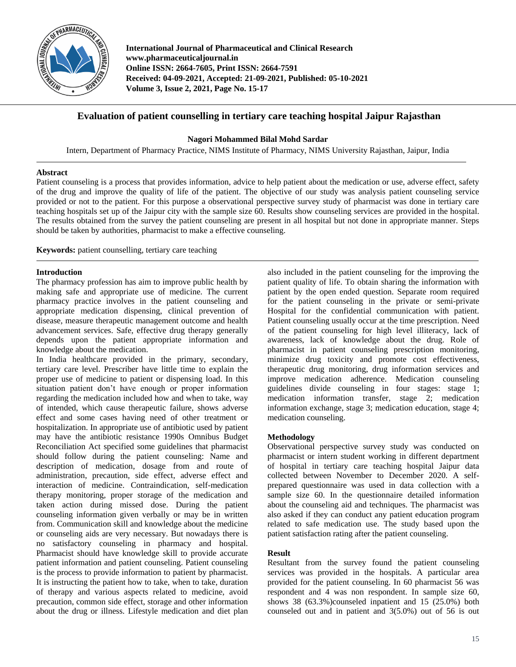

**International Journal of Pharmaceutical and Clinical Research www.pharmaceuticaljournal.in Online ISSN: 2664-7605, Print ISSN: 2664-7591 Received: 04-09-2021, Accepted: 21-09-2021, Published: 05-10-2021 Volume 3, Issue 2, 2021, Page No. 15-17**

# **Evaluation of patient counselling in tertiary care teaching hospital Jaipur Rajasthan**

## **Nagori Mohammed Bilal Mohd Sardar**

Intern, Department of Pharmacy Practice, NIMS Institute of Pharmacy, NIMS University Rajasthan, Jaipur, India

### **Abstract**

Patient counseling is a process that provides information, advice to help patient about the medication or use, adverse effect, safety of the drug and improve the quality of life of the patient. The objective of our study was analysis patient counseling service provided or not to the patient. For this purpose a observational perspective survey study of pharmacist was done in tertiary care teaching hospitals set up of the Jaipur city with the sample size 60. Results show counseling services are provided in the hospital. The results obtained from the survey the patient counseling are present in all hospital but not done in appropriate manner. Steps should be taken by authorities, pharmacist to make a effective counseling.

**Keywords:** patient counselling, tertiary care teaching

### **Introduction**

The pharmacy profession has aim to improve public health by making safe and appropriate use of medicine. The current pharmacy practice involves in the patient counseling and appropriate medication dispensing, clinical prevention of disease, measure therapeutic management outcome and health advancement services. Safe, effective drug therapy generally depends upon the patient appropriate information and knowledge about the medication.

In India healthcare provided in the primary, secondary, tertiary care level. Prescriber have little time to explain the proper use of medicine to patient or dispensing load. In this situation patient don't have enough or proper information regarding the medication included how and when to take, way of intended, which cause therapeutic failure, shows adverse effect and some cases having need of other treatment or hospitalization. In appropriate use of antibiotic used by patient may have the antibiotic resistance 1990s Omnibus Budget Reconciliation Act specified some guidelines that pharmacist should follow during the patient counseling: Name and description of medication, dosage from and route of administration, precaution, side effect, adverse effect and interaction of medicine. Contraindication, self-medication therapy monitoring, proper storage of the medication and taken action during missed dose. During the patient counseling information given verbally or may be in written from. Communication skill and knowledge about the medicine or counseling aids are very necessary. But nowadays there is no satisfactory counseling in pharmacy and hospital. Pharmacist should have knowledge skill to provide accurate patient information and patient counseling. Patient counseling is the process to provide information to patient by pharmacist. It is instructing the patient how to take, when to take, duration of therapy and various aspects related to medicine, avoid precaution, common side effect, storage and other information about the drug or illness. Lifestyle medication and diet plan

also included in the patient counseling for the improving the patient quality of life. To obtain sharing the information with patient by the open ended question. Separate room required for the patient counseling in the private or semi-private Hospital for the confidential communication with patient. Patient counseling usually occur at the time prescription. Need of the patient counseling for high level illiteracy, lack of awareness, lack of knowledge about the drug. Role of pharmacist in patient counseling prescription monitoring, minimize drug toxicity and promote cost effectiveness, therapeutic drug monitoring, drug information services and improve medication adherence. Medication counseling guidelines divide counseling in four stages: stage 1; medication information transfer, stage 2; medication information exchange, stage 3; medication education, stage 4; medication counseling.

### **Methodology**

Observational perspective survey study was conducted on pharmacist or intern student working in different department of hospital in tertiary care teaching hospital Jaipur data collected between November to December 2020. A selfprepared questionnaire was used in data collection with a sample size 60. In the questionnaire detailed information about the counseling aid and techniques. The pharmacist was also asked if they can conduct any patient education program related to safe medication use. The study based upon the patient satisfaction rating after the patient counseling.

### **Result**

Resultant from the survey found the patient counseling services was provided in the hospitals. A particular area provided for the patient counseling. In 60 pharmacist 56 was respondent and 4 was non respondent. In sample size 60, shows 38 (63.3%)counseled inpatient and 15 (25.0%) both counseled out and in patient and 3(5.0%) out of 56 is out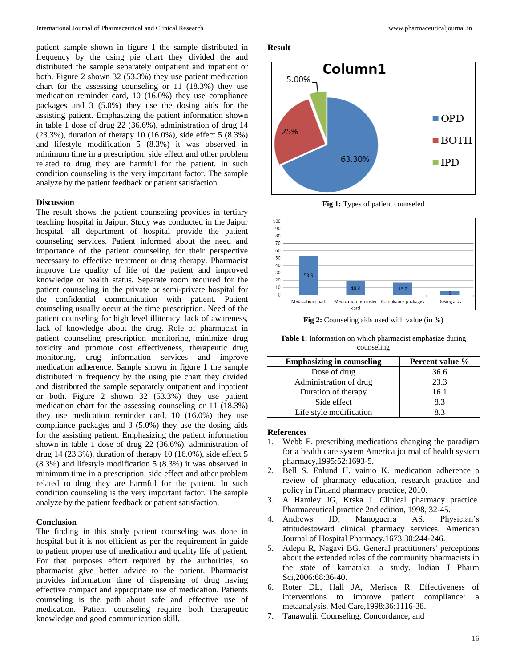patient sample shown in figure 1 the sample distributed in frequency by the using pie chart they divided the and distributed the sample separately outpatient and inpatient or both. Figure 2 shown 32 (53.3%) they use patient medication chart for the assessing counseling or 11 (18.3%) they use medication reminder card, 10 (16.0%) they use compliance packages and 3 (5.0%) they use the dosing aids for the assisting patient. Emphasizing the patient information shown in table 1 dose of drug 22 (36.6%), administration of drug 14 (23.3%), duration of therapy 10 (16.0%), side effect 5 (8.3%) and lifestyle modification 5 (8.3%) it was observed in minimum time in a prescription. side effect and other problem related to drug they are harmful for the patient. In such condition counseling is the very important factor. The sample analyze by the patient feedback or patient satisfaction.

#### **Discussion**

The result shows the patient counseling provides in tertiary teaching hospital in Jaipur. Study was conducted in the Jaipur hospital, all department of hospital provide the patient counseling services. Patient informed about the need and importance of the patient counseling for their perspective necessary to effective treatment or drug therapy. Pharmacist improve the quality of life of the patient and improved knowledge or health status. Separate room required for the patient counseling in the private or semi-private hospital for the confidential communication with patient. Patient counseling usually occur at the time prescription. Need of the patient counseling for high level illiteracy, lack of awareness, lack of knowledge about the drug. Role of pharmacist in patient counseling prescription monitoring, minimize drug toxicity and promote cost effectiveness, therapeutic drug monitoring, drug information services and improve medication adherence. Sample shown in figure 1 the sample distributed in frequency by the using pie chart they divided and distributed the sample separately outpatient and inpatient or both. Figure 2 shown 32 (53.3%) they use patient medication chart for the assessing counseling or 11 (18.3%) they use medication reminder card, 10 (16.0%) they use compliance packages and 3 (5.0%) they use the dosing aids for the assisting patient. Emphasizing the patient information shown in table 1 dose of drug 22 (36.6%), administration of drug 14 (23.3%), duration of therapy 10 (16.0%), side effect 5  $(8.3\%)$  and lifestyle modification  $\frac{5}{6}$   $(8.3\%)$  it was observed in minimum time in a prescription. side effect and other problem related to drug they are harmful for the patient. In such condition counseling is the very important factor. The sample analyze by the patient feedback or patient satisfaction.

#### **Conclusion**

The finding in this study patient counseling was done in hospital but it is not efficient as per the requirement in guide to patient proper use of medication and quality life of patient. For that purposes effort required by the authorities, so pharmacist give better advice to the patient. Pharmacist provides information time of dispensing of drug having effective compact and appropriate use of medication. Patients counseling is the path about safe and effective use of medication. Patient counseling require both therapeutic knowledge and good communication skill.

#### **Result**



**Fig 1:** Types of patient counseled



**Fig 2:** Counseling aids used with value (in %)

| <b>Table 1:</b> Information on which pharmacist emphasize during |
|------------------------------------------------------------------|
| counseling                                                       |

| <b>Emphasizing in counseling</b> | Percent value % |
|----------------------------------|-----------------|
| Dose of drug                     | 36.6            |
| Administration of drug           | 23.3            |
| Duration of therapy              | 16.1            |
| Side effect                      | 8.3             |
| Life style modification          |                 |

#### **References**

- 1. Webb E. prescribing medications changing the paradigm for a health care system America journal of health system pharmacy,1995:52:1693-5.
- 2. Bell S. Enlund H. vainio K. medication adherence a review of pharmacy education, research practice and policy in Finland pharmacy practice, 2010.
- 3. A Hamley JG, Krska J. Clinical pharmacy practice. Pharmaceutical practice 2nd edition, 1998, 32-45.
- 4. Andrews JD, Manoguerra AS. Physician's attitudestoward clinical pharmacy services. American Journal of Hospital Pharmacy,1673:30:244-246.
- 5. Adepu R, Nagavi BG. General practitioners' perceptions about the extended roles of the community pharmacists in the state of karnataka: a study. Indian J Pharm Sci, 2006: 68: 36-40.
- 6. Roter DL, Hall JA, Merisca R. Effectiveness of interventions to improve patient compliance: a metaanalysis. Med Care,1998:36:1116-38.
- 7. Tanawulji. Counseling, Concordance, and